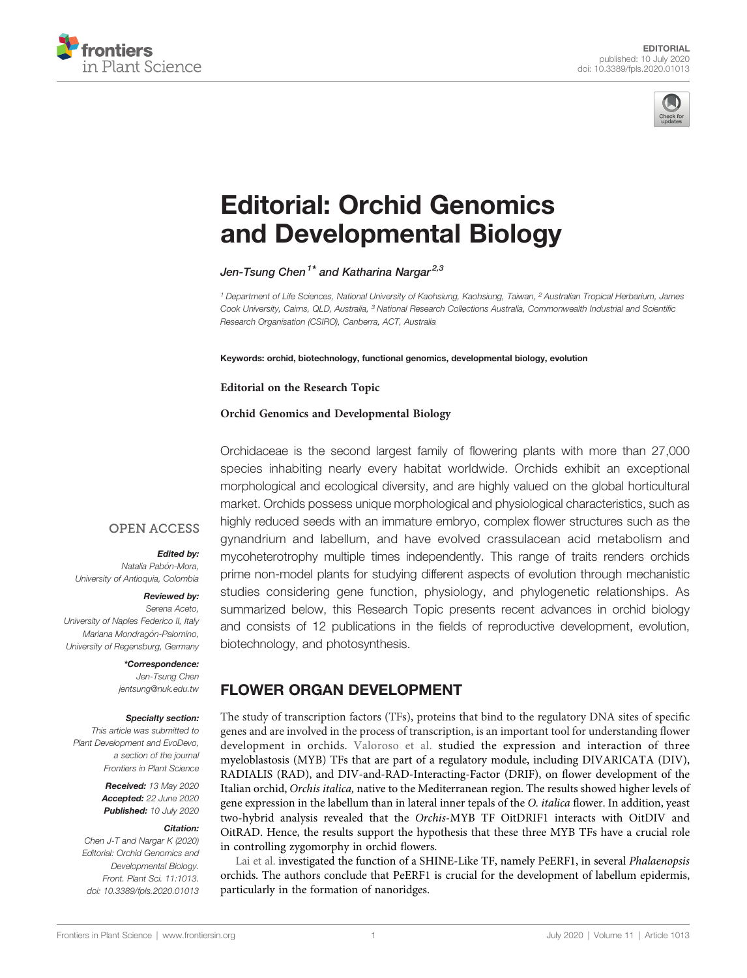



# [Editorial: Orchid Genomics](https://www.frontiersin.org/articles/10.3389/fpls.2020.01013/full) [and Developmental Biology](https://www.frontiersin.org/articles/10.3389/fpls.2020.01013/full)

[Jen-Tsung](https://loop.frontiersin.org/people/593584) [Chen](https://loop.frontiersin.org/people/593584)<sup>1\*</sup> and [Katharina](https://loop.frontiersin.org/people/605096) [Nargar](https://loop.frontiersin.org/people/605096)<sup>2,3</sup>

<sup>1</sup> Department of Life Sciences, National University of Kaohsiung, Kaohsiung, Taiwan, <sup>2</sup> Australian Tropical Herbarium, James Cook University, Cairns, QLD, Australia, <sup>3</sup> National Research Collections Australia, Commonwealth Industrial and Scientific Research Organisation (CSIRO), Canberra, ACT, Australia

Keywords: orchid, biotechnology, functional genomics, developmental biology, evolution

#### Editorial on the Research Topic

### [Orchid Genomics and Developmental Biology](https://www.frontiersin.org/researchtopic/8796/orchid-genomics-and-developmental-biology)

Orchidaceae is the second largest family of flowering plants with more than 27,000 species inhabiting nearly every habitat worldwide. Orchids exhibit an exceptional morphological and ecological diversity, and are highly valued on the global horticultural market. Orchids possess unique morphological and physiological characteristics, such as highly reduced seeds with an immature embryo, complex flower structures such as the gynandrium and labellum, and have evolved crassulacean acid metabolism and mycoheterotrophy multiple times independently. This range of traits renders orchids prime non-model plants for studying different aspects of evolution through mechanistic studies considering gene function, physiology, and phylogenetic relationships. As summarized below, this Research Topic presents recent advances in orchid biology and consists of 12 publications in the fields of reproductive development, evolution, biotechnology, and photosynthesis.

### **OPEN ACCESS**

#### Edited by:

Natalia Pabón-Mora, University of Antioquia, Colombia

### Reviewed by:

Serena Aceto, University of Naples Federico II, Italy Mariana Mondragón-Palomino, University of Regensburg, Germany

#### \*Correspondence:

Jen-Tsung Chen [jentsung@nuk.edu.tw](mailto:jentsung@nuk.edu.tw)

#### Specialty section:

This article was submitted to Plant Development and EvoDevo, a section of the journal Frontiers in Plant Science

> Received: 13 May 2020 Accepted: 22 June 2020 Published: 10 July 2020

#### Citation:

Chen J-T and Nargar K (2020) Editorial: Orchid Genomics and Developmental Biology. Front. Plant Sci. 11:1013. [doi: 10.3389/fpls.2020.01013](https://doi.org/10.3389/fpls.2020.01013)

FLOWER ORGAN DEVELOPMENT

The study of transcription factors (TFs), proteins that bind to the regulatory DNA sites of specific genes and are involved in the process of transcription, is an important tool for understanding flower development in orchids. [Valoroso et al.](https://doi.org/10.3389/fpls.2019.01359) studied the expression and interaction of three myeloblastosis (MYB) TFs that are part of a regulatory module, including DIVARICATA (DIV), RADIALIS (RAD), and DIV-and-RAD-Interacting-Factor (DRIF), on flower development of the Italian orchid, Orchis italica, native to the Mediterranean region. The results showed higher levels of gene expression in the labellum than in lateral inner tepals of the O. italica flower. In addition, yeast two-hybrid analysis revealed that the Orchis-MYB TF OitDRIF1 interacts with OitDIV and OitRAD. Hence, the results support the hypothesis that these three MYB TFs have a crucial role in controlling zygomorphy in orchid flowers.

[Lai et al.](https://doi.org/10.3389/fpls.2019.01709) investigated the function of a SHINE-Like TF, namely PeERF1, in several Phalaenopsis orchids. The authors conclude that PeERF1 is crucial for the development of labellum epidermis, particularly in the formation of nanoridges.